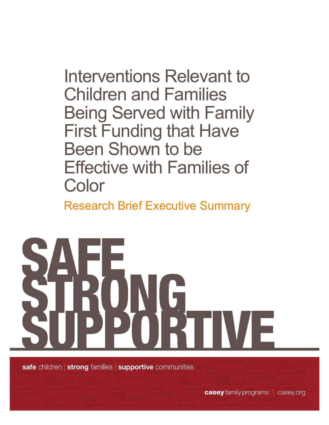Interventions Relevant to Children and Families Being Served with Family First Funding that Have Been Shown to be Effective with Families of Color

Research Brief Executive Summary



safe children | strong families | supportive communities

**casey** family programs | casey.org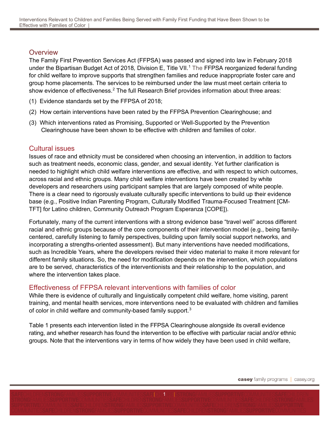# **Overview**

The Family First Prevention Services Act (FFPSA) was passed and signed into law in February 2018 under the Bipartisan Budget Act of 2018*,* Division E, Title VII. [1](#page-4-0) The FFPSA reorganized federal funding for child welfare to improve supports that strengthen families and reduce inappropriate foster care and group home placements. The services to be reimbursed under the law must meet certain criteria to show evidence of effectiveness.<sup>[2](#page-4-1)</sup> The full Research Brief provides information about three areas:

- (1) Evidence standards set by the FFPSA of 2018;
- (2) How certain interventions have been rated by the FFPSA Prevention Clearinghouse; and
- (3) Which interventions rated as Promising, Supported or Well-Supported by the Prevention Clearinghouse have been shown to be effective with children and families of color.

### Cultural issues

Issues of race and ethnicity must be considered when choosing an intervention, in addition to factors such as treatment needs, economic class, gender, and sexual identity. Yet further clarification is needed to highlight which child welfare interventions are effective, and with respect to which outcomes, across racial and ethnic groups. Many child welfare interventions have been created by white developers and researchers using participant samples that are largely composed of white people. There is a clear need to rigorously evaluate culturally specific interventions to build up their evidence base (e.g., Positive Indian Parenting Program, Culturally Modified Trauma-Focused Treatment [CM-TFT] for Latino children, Community Outreach Program Esperanza [COPE]).

Fortunately, many of the current interventions with a strong evidence base "travel well" across different racial and ethnic groups because of the core components of their intervention model (e.g., being familycentered, carefully listening to family perspectives, building upon family social support networks, and incorporating a strengths-oriented assessment). But many interventions have needed modifications, such as Incredible Years, where the developers revised their video material to make it more relevant for different family situations. So, the need for modification depends on the intervention, which populations are to be served, characteristics of the interventionists and their relationship to the population, and where the intervention takes place.

### Effectiveness of FFPSA relevant interventions with families of color

While there is evidence of culturally and linguistically competent child welfare, home visiting, parent training, and mental health services, more interventions need to be evaluated with children and families of color in child welfare and community-based family support.<sup>3</sup>

Table 1 presents each intervention listed in the FFPSA Clearinghouse alongside its overall evidence rating, and whether research has found the intervention to be effective with particular racial and/or ethnic groups. Note that the interventions vary in terms of how widely they have been used in child welfare,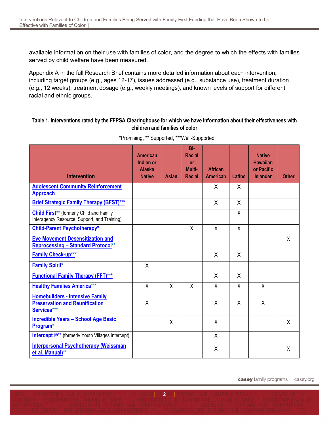available information on their use with families of color, and the degree to which the effects with families served by child welfare have been measured.

Appendix A in the full Research Brief contains more detailed information about each intervention, including target groups (e.g., ages 12-17), issues addressed (e.g., substance use), treatment duration (e.g., 12 weeks), treatment dosage (e.g., weekly meetings), and known levels of support for different racial and ethnic groups.

#### **Table 1. Interventions rated by the FFPSA Clearinghouse for which we have information about their effectiveness with children and families of color**

| <b>Intervention</b>                                                                             | <b>American</b><br>Indian or<br><b>Alaska</b><br><b>Native</b> | Asian | Bi-<br><b>Racial</b><br><b>or</b><br>Multi-<br><b>Racial</b> | <b>African</b><br><b>American</b> | Latino       | <b>Native</b><br><b>Hawaiian</b><br>or Pacific<br><b>Islander</b> | <b>Other</b> |
|-------------------------------------------------------------------------------------------------|----------------------------------------------------------------|-------|--------------------------------------------------------------|-----------------------------------|--------------|-------------------------------------------------------------------|--------------|
| <b>Adolescent Community Reinforcement</b>                                                       |                                                                |       |                                                              | X                                 | X            |                                                                   |              |
| <b>Approach</b>                                                                                 |                                                                |       |                                                              |                                   |              |                                                                   |              |
| <b>Brief Strategic Family Therapy (BFST)***</b>                                                 |                                                                |       |                                                              | X                                 | X            |                                                                   |              |
| <b>Child First**</b> (formerly Child and Family<br>Interagency Resource, Support, and Training) |                                                                |       |                                                              |                                   | X            |                                                                   |              |
| <b>Child-Parent Psychotherapy*</b>                                                              |                                                                |       | X                                                            | $\mathsf{X}$                      | $\mathsf{X}$ |                                                                   |              |
| <b>Eye Movement Desensitization and</b><br>Reprocessing - Standard Protocol**                   |                                                                |       |                                                              |                                   |              |                                                                   | $\mathsf{X}$ |
| <b>Family Check-up***</b>                                                                       |                                                                |       |                                                              | X                                 | X            |                                                                   |              |
| <b>Family Spirit*</b>                                                                           | X                                                              |       |                                                              |                                   |              |                                                                   |              |
| <b>Functional Family Therapy (FFT)***</b>                                                       |                                                                |       |                                                              | $\sf X$                           | X            |                                                                   |              |
| <b>Healthy Families America***</b>                                                              | $\sf X$                                                        | X     | X                                                            | $\sf X$                           | X            | $\sf X$                                                           |              |
| <b>Homebuilders - Intensive Family</b><br><b>Preservation and Reunification</b><br>Services***  | X                                                              |       |                                                              | X                                 | X            | X                                                                 |              |
| <b>Incredible Years - School Age Basic</b><br>Program*                                          |                                                                | X     |                                                              | X                                 |              |                                                                   | X            |
| <b>Intercept ®**</b> (formerly Youth Villages Intercept)                                        |                                                                |       |                                                              | $\sf X$                           |              |                                                                   |              |
| <b>Interpersonal Psychotherapy (Weissman</b><br>et al. Manual)**                                |                                                                |       |                                                              | X                                 |              |                                                                   | X            |

**2** RENS

\*Promising, \*\* Supported, \*\*\*Well-Supported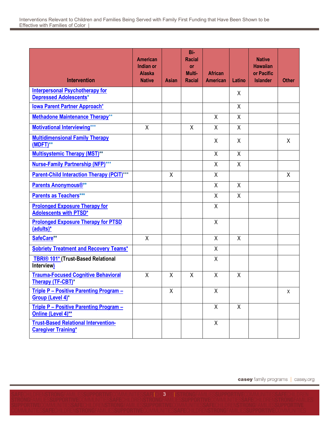|                                                                           | <b>American</b><br>Indian or<br><b>Alaska</b> |       | Bi-<br><b>Racial</b><br><b>or</b><br><b>Multi-</b> | <b>African</b>  |                | <b>Native</b><br><b>Hawaiian</b><br>or Pacific |              |
|---------------------------------------------------------------------------|-----------------------------------------------|-------|----------------------------------------------------|-----------------|----------------|------------------------------------------------|--------------|
| <b>Intervention</b>                                                       | <b>Native</b>                                 | Asian | <b>Racial</b>                                      | <b>American</b> | Latino         | <b>Islander</b>                                | <b>Other</b> |
| <b>Interpersonal Psychotherapy for</b><br><b>Depressed Adolescents*</b>   |                                               |       |                                                    |                 | X              |                                                |              |
| <b>Iowa Parent Partner Approach*</b>                                      |                                               |       |                                                    |                 | $\overline{X}$ |                                                |              |
| <b>Methadone Maintenance Therapy**</b>                                    |                                               |       |                                                    | X               | X              |                                                |              |
| <b>Motivational Interviewing***</b>                                       | X                                             |       | X                                                  | X               | X              |                                                |              |
| <b>Multidimensional Family Therapy</b><br>$(MDFT)**$                      |                                               |       |                                                    | X               | X              |                                                | X            |
| <b>Multisystemic Therapy (MST)**</b>                                      |                                               |       |                                                    | X               | $\mathsf{X}$   |                                                |              |
| <b>Nurse-Family Partnership (NFP)***</b>                                  |                                               |       |                                                    | X               | $\mathsf{X}$   |                                                |              |
| <b>Parent-Child Interaction Therapy (PCIT)***</b>                         |                                               | X     |                                                    | Χ               |                |                                                | Χ            |
| <b>Parents Anonymous®**</b>                                               |                                               |       |                                                    | X               | X              |                                                |              |
| <b>Parents as Teachers***</b>                                             |                                               |       |                                                    | X               | X              |                                                |              |
| <b>Prolonged Exposure Therapy for</b><br><b>Adolescents with PTSD*</b>    |                                               |       |                                                    | X               |                |                                                |              |
| <b>Prolonged Exposure Therapy for PTSD</b><br>(adults)*                   |                                               |       |                                                    | $\sf X$         |                |                                                |              |
| SafeCare**                                                                | X                                             |       |                                                    | X               | $\mathsf{X}$   |                                                |              |
| <b>Sobriety Treatment and Recovery Teams*</b>                             |                                               |       |                                                    | $\sf X$         |                |                                                |              |
| <b>TBRI® 101* (Trust-Based Relational</b><br>Interview)                   |                                               |       |                                                    | X               |                |                                                |              |
| <b>Trauma-Focused Cognitive Behavioral</b><br>Therapy (TF-CBT)*           | X                                             | X     | X                                                  | X               | X              |                                                |              |
| <b>Triple P – Positive Parenting Program –</b><br>Group (Level 4)*        |                                               | X     |                                                    | X               |                |                                                | Χ            |
| Triple P - Positive Parenting Program -<br>Online (Level 4)**             |                                               |       |                                                    | X               | $\mathsf{X}$   |                                                |              |
| <b>Trust-Based Relational Intervention-</b><br><b>Caregiver Training*</b> |                                               |       |                                                    | $\sf X$         |                |                                                |              |

F<mark>i</mark>chi3 renst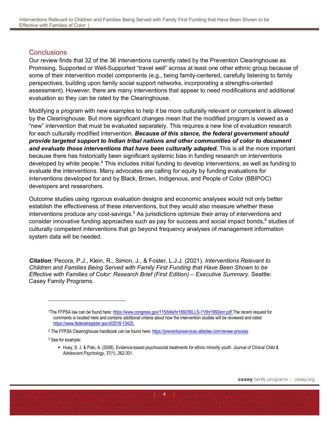# **Conclusions**

Our review finds that 32 of the 36 interventions currently rated by the Prevention Clearinghouse as Promising, Supported or Well-Supported "travel well" across at least one other ethnic group because of some of their intervention model components (e.g., being family-centered, carefully listening to family perspectives, building upon family social support networks, incorporating a strengths-oriented assessment). However, there are many interventions that appear to need modifications and additional evaluation so they can be rated by the Clearinghouse.

Modifying a program with new examples to help it be more culturally relevant or competent is allowed by the Clearinghouse. But more significant changes mean that the modified program is viewed as a "new" intervention that must be evaluated separately. This requires a new line of evaluation research for each culturally modified intervention. *Because of this stance, the federal government should provide targeted support to Indian tribal nations and other communities of color to document*  and evaluate those interventions that have been culturally adapted. This is all the more important because there has historically been significant systemic bias in funding research on interventions developed by white people.[4](#page-5-0) This includes initial funding to develop interventions, as well as funding to evaluate the interventions. Many advocates are calling for equity by funding evaluations for interventions developed for and by Black, Brown, Indigenous, and People of Color (BBIPOC) developers and researchers.

Outcome studies using rigorous evaluation designs and economic analyses would not only better establish the effectiveness of these interventions, but they would also measure whether these interventions produce any cost-savings.<sup>[5](#page-5-1)</sup> As jurisdictions optimize their array of interventions and consider innovative funding approaches such as pay for success and social impact bonds,<sup>[6](#page-5-2)</sup> studies of culturally competent interventions that go beyond frequency analyses of management information system data will be needed.

*Citation:* Pecora, P.J., Klein, R., Simon, J., & Foster, L.J.J. (2021). *Interventions Relevant to Children and Families Being Served with Family First Funding that Have Been Shown to be Effective with Families of Color: Research Brief (First Edition) – Executive Summary.* Seattle: Casey Family Programs.

<span id="page-4-2"></span><sup>3</sup> See for example:

 $\mathbf 4$ 

<span id="page-4-0"></span><sup>1</sup>The FFPSA law can be found here[: https://www.congress.gov/115/bills/hr1892/BILLS-115hr1892enr.pdf](https://www.congress.gov/115/bills/hr1892/BILLS-115hr1892enr.pdf) The recent request for comments is located here and contains additional criteria about how the intervention studies will be reviewed and rated: [https://www.federalregister.gov/d/2018-13420.](https://www.federalregister.gov/d/2018-13420)

<span id="page-4-1"></span><sup>&</sup>lt;sup>2</sup> The FFPSA Clearinghouse handbook can be found here[: https://preventionservices.abtsites.com/review-process](https://preventionservices.abtsites.com/review-process)

Huey, S. J. & Polo, A. (2008). Evidence-based psychosocial treatments for ethnic minority youth. *Journal of Clinical Child & Adolescent Psychology*, 37(1), 262-301.